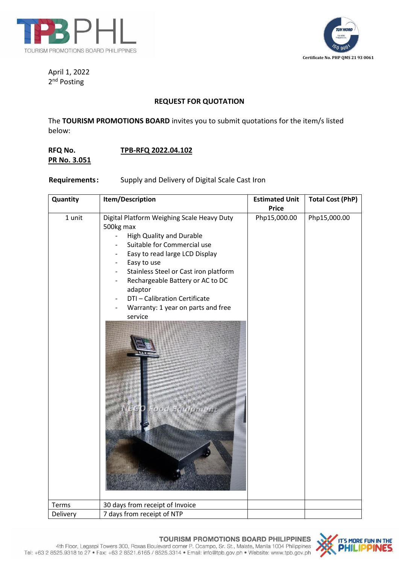



April 1, 2022 2<sup>nd</sup> Posting

## **REQUEST FOR QUOTATION**

The **TOURISM PROMOTIONS BOARD** invites you to submit quotations for the item/s listed below:

## **RFQ No. TPB-RFQ 2022.04.102 PR No. 3.051**

**Requirements:** Supply and Delivery of Digital Scale Cast Iron

| Quantity | Item/Description                                                                                                                                                                                                                                                                                                                                                                        | <b>Estimated Unit</b> | <b>Total Cost (PhP)</b> |
|----------|-----------------------------------------------------------------------------------------------------------------------------------------------------------------------------------------------------------------------------------------------------------------------------------------------------------------------------------------------------------------------------------------|-----------------------|-------------------------|
|          |                                                                                                                                                                                                                                                                                                                                                                                         | <b>Price</b>          |                         |
| 1 unit   | Digital Platform Weighing Scale Heavy Duty<br>500kg max<br><b>High Quality and Durable</b><br>$\overline{\phantom{0}}$<br>Suitable for Commercial use<br>Easy to read large LCD Display<br>Easy to use<br>Stainless Steel or Cast iron platform<br>Rechargeable Battery or AC to DC<br>adaptor<br>DTI - Calibration Certificate<br>Warranty: 1 year on parts and free<br>service<br>VEG | Php15,000.00          | Php15,000.00            |
| Terms    | 30 days from receipt of Invoice                                                                                                                                                                                                                                                                                                                                                         |                       |                         |
| Delivery | 7 days from receipt of NTP                                                                                                                                                                                                                                                                                                                                                              |                       |                         |

## **TOURISM PROMOTIONS BOARD PHILIPPINES**

4th Floor, Legaspi Towers 300, Roxas Boulevard corner P. Ocampo, Sr. St., Malate, Manila 1004 Philippines<br>Tel: +63 2 8525.9318 to 27 • Fax: +63 2 8521.6165 / 8525.3314 • Email: info@tpb.gov.ph • Website: www.tpb.gov.ph